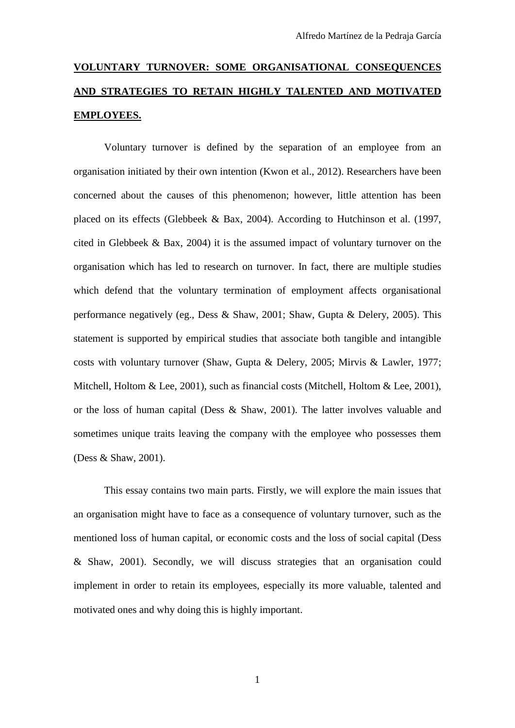# **VOLUNTARY TURNOVER: SOME ORGANISATIONAL CONSEQUENCES AND STRATEGIES TO RETAIN HIGHLY TALENTED AND MOTIVATED EMPLOYEES.**

Voluntary turnover is defined by the separation of an employee from an organisation initiated by their own intention (Kwon et al., 2012). Researchers have been concerned about the causes of this phenomenon; however, little attention has been placed on its effects (Glebbeek & Bax, 2004). According to Hutchinson et al. (1997, cited in Glebbeek & Bax, 2004) it is the assumed impact of voluntary turnover on the organisation which has led to research on turnover. In fact, there are multiple studies which defend that the voluntary termination of employment affects organisational performance negatively (eg., Dess & Shaw, 2001; Shaw, Gupta & Delery, 2005). This statement is supported by empirical studies that associate both tangible and intangible costs with voluntary turnover (Shaw, Gupta & Delery, 2005; Mirvis & Lawler, 1977; Mitchell, Holtom & Lee, 2001), such as financial costs (Mitchell, Holtom & Lee, 2001), or the loss of human capital (Dess & Shaw, 2001). The latter involves valuable and sometimes unique traits leaving the company with the employee who possesses them (Dess & Shaw, 2001).

This essay contains two main parts. Firstly, we will explore the main issues that an organisation might have to face as a consequence of voluntary turnover, such as the mentioned loss of human capital, or economic costs and the loss of social capital (Dess & Shaw, 2001). Secondly, we will discuss strategies that an organisation could implement in order to retain its employees, especially its more valuable, talented and motivated ones and why doing this is highly important.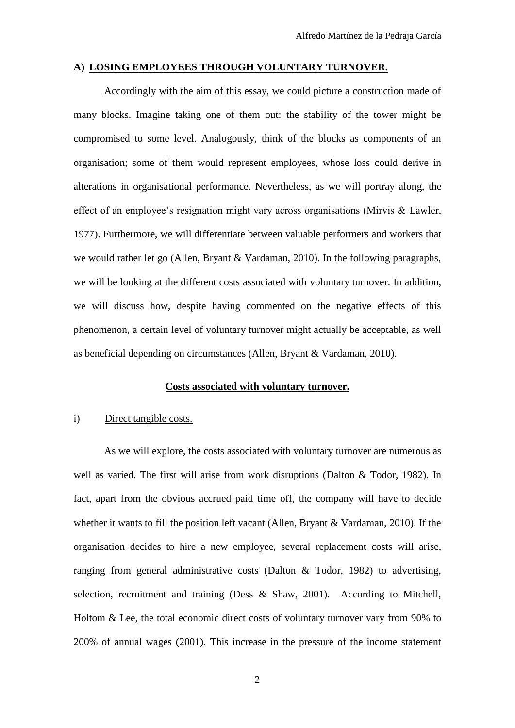# **A) LOSING EMPLOYEES THROUGH VOLUNTARY TURNOVER.**

Accordingly with the aim of this essay, we could picture a construction made of many blocks. Imagine taking one of them out: the stability of the tower might be compromised to some level. Analogously, think of the blocks as components of an organisation; some of them would represent employees, whose loss could derive in alterations in organisational performance. Nevertheless, as we will portray along, the effect of an employee's resignation might vary across organisations (Mirvis & Lawler, 1977). Furthermore, we will differentiate between valuable performers and workers that we would rather let go (Allen, Bryant & Vardaman, 2010). In the following paragraphs, we will be looking at the different costs associated with voluntary turnover. In addition, we will discuss how, despite having commented on the negative effects of this phenomenon, a certain level of voluntary turnover might actually be acceptable, as well as beneficial depending on circumstances (Allen, Bryant & Vardaman, 2010).

#### **Costs associated with voluntary turnover.**

## i) Direct tangible costs.

As we will explore, the costs associated with voluntary turnover are numerous as well as varied. The first will arise from work disruptions (Dalton & Todor, 1982). In fact, apart from the obvious accrued paid time off, the company will have to decide whether it wants to fill the position left vacant (Allen, Bryant & Vardaman, 2010). If the organisation decides to hire a new employee, several replacement costs will arise, ranging from general administrative costs (Dalton & Todor, 1982) to advertising, selection, recruitment and training (Dess & Shaw, 2001). According to Mitchell, Holtom & Lee, the total economic direct costs of voluntary turnover vary from 90% to 200% of annual wages (2001). This increase in the pressure of the income statement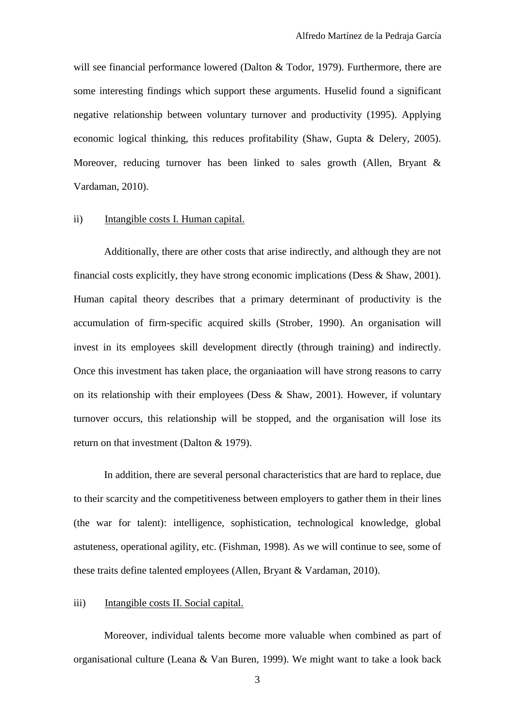will see financial performance lowered (Dalton & Todor, 1979). Furthermore, there are some interesting findings which support these arguments. Huselid found a significant negative relationship between voluntary turnover and productivity (1995). Applying economic logical thinking, this reduces profitability (Shaw, Gupta & Delery, 2005). Moreover, reducing turnover has been linked to sales growth (Allen, Bryant  $\&$ Vardaman, 2010).

## ii) Intangible costs I. Human capital.

Additionally, there are other costs that arise indirectly, and although they are not financial costs explicitly, they have strong economic implications (Dess  $\&$  Shaw, 2001). Human capital theory describes that a primary determinant of productivity is the accumulation of firm-specific acquired skills (Strober, 1990). An organisation will invest in its employees skill development directly (through training) and indirectly. Once this investment has taken place, the organiaation will have strong reasons to carry on its relationship with their employees (Dess & Shaw, 2001). However, if voluntary turnover occurs, this relationship will be stopped, and the organisation will lose its return on that investment (Dalton & 1979).

In addition, there are several personal characteristics that are hard to replace, due to their scarcity and the competitiveness between employers to gather them in their lines (the war for talent): intelligence, sophistication, technological knowledge, global astuteness, operational agility, etc. (Fishman, 1998). As we will continue to see, some of these traits define talented employees (Allen, Bryant & Vardaman, 2010).

## iii) Intangible costs II. Social capital.

Moreover, individual talents become more valuable when combined as part of organisational culture (Leana & Van Buren, 1999). We might want to take a look back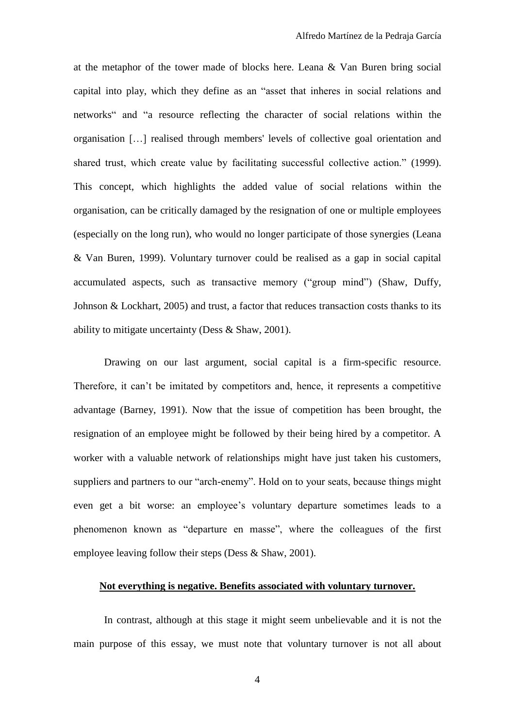at the metaphor of the tower made of blocks here. Leana & Van Buren bring social capital into play, which they define as an "asset that inheres in social relations and networks" and "a resource reflecting the character of social relations within the organisation […] realised through members' levels of collective goal orientation and shared trust, which create value by facilitating successful collective action." (1999). This concept, which highlights the added value of social relations within the organisation, can be critically damaged by the resignation of one or multiple employees (especially on the long run), who would no longer participate of those synergies (Leana & Van Buren, 1999). Voluntary turnover could be realised as a gap in social capital accumulated aspects, such as transactive memory ("group mind") (Shaw, Duffy, Johnson & Lockhart, 2005) and trust, a factor that reduces transaction costs thanks to its ability to mitigate uncertainty (Dess & Shaw, 2001).

Drawing on our last argument, social capital is a firm-specific resource. Therefore, it can't be imitated by competitors and, hence, it represents a competitive advantage (Barney, 1991). Now that the issue of competition has been brought, the resignation of an employee might be followed by their being hired by a competitor. A worker with a valuable network of relationships might have just taken his customers, suppliers and partners to our "arch-enemy". Hold on to your seats, because things might even get a bit worse: an employee's voluntary departure sometimes leads to a phenomenon known as "departure en masse", where the colleagues of the first employee leaving follow their steps (Dess & Shaw, 2001).

# **Not everything is negative. Benefits associated with voluntary turnover.**

In contrast, although at this stage it might seem unbelievable and it is not the main purpose of this essay, we must note that voluntary turnover is not all about

4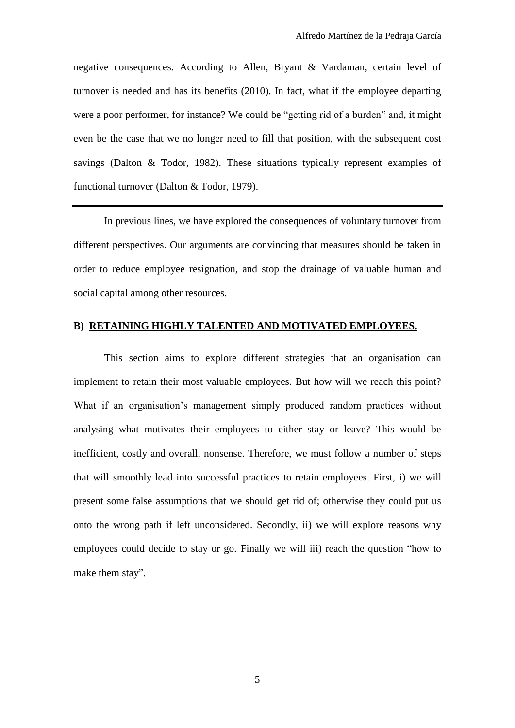negative consequences. According to Allen, Bryant & Vardaman, certain level of turnover is needed and has its benefits (2010). In fact, what if the employee departing were a poor performer, for instance? We could be "getting rid of a burden" and, it might even be the case that we no longer need to fill that position, with the subsequent cost savings (Dalton & Todor, 1982). These situations typically represent examples of functional turnover (Dalton & Todor, 1979).

In previous lines, we have explored the consequences of voluntary turnover from different perspectives. Our arguments are convincing that measures should be taken in order to reduce employee resignation, and stop the drainage of valuable human and social capital among other resources.

# **B) RETAINING HIGHLY TALENTED AND MOTIVATED EMPLOYEES.**

This section aims to explore different strategies that an organisation can implement to retain their most valuable employees. But how will we reach this point? What if an organisation's management simply produced random practices without analysing what motivates their employees to either stay or leave? This would be inefficient, costly and overall, nonsense. Therefore, we must follow a number of steps that will smoothly lead into successful practices to retain employees. First, i) we will present some false assumptions that we should get rid of; otherwise they could put us onto the wrong path if left unconsidered. Secondly, ii) we will explore reasons why employees could decide to stay or go. Finally we will iii) reach the question "how to make them stay".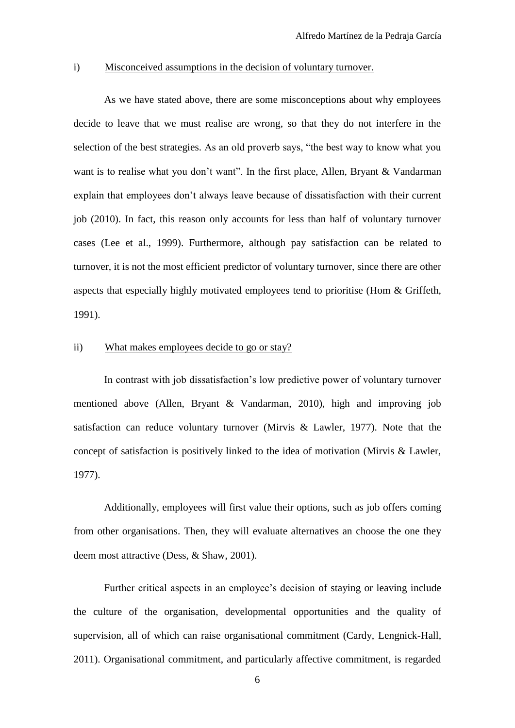# i) Misconceived assumptions in the decision of voluntary turnover.

As we have stated above, there are some misconceptions about why employees decide to leave that we must realise are wrong, so that they do not interfere in the selection of the best strategies. As an old proverb says, "the best way to know what you want is to realise what you don't want". In the first place, Allen, Bryant & Vandarman explain that employees don't always leave because of dissatisfaction with their current job (2010). In fact, this reason only accounts for less than half of voluntary turnover cases (Lee et al., 1999). Furthermore, although pay satisfaction can be related to turnover, it is not the most efficient predictor of voluntary turnover, since there are other aspects that especially highly motivated employees tend to prioritise (Hom & Griffeth, 1991).

# ii) What makes employees decide to go or stay?

In contrast with job dissatisfaction's low predictive power of voluntary turnover mentioned above (Allen, Bryant & Vandarman, 2010), high and improving job satisfaction can reduce voluntary turnover (Mirvis & Lawler, 1977). Note that the concept of satisfaction is positively linked to the idea of motivation (Mirvis & Lawler, 1977).

Additionally, employees will first value their options, such as job offers coming from other organisations. Then, they will evaluate alternatives an choose the one they deem most attractive (Dess, & Shaw, 2001).

Further critical aspects in an employee's decision of staying or leaving include the culture of the organisation, developmental opportunities and the quality of supervision, all of which can raise organisational commitment (Cardy, Lengnick-Hall, 2011). Organisational commitment, and particularly affective commitment, is regarded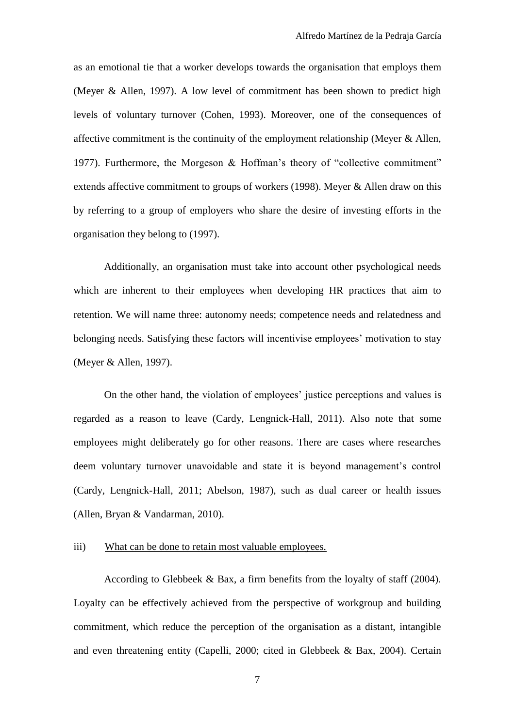as an emotional tie that a worker develops towards the organisation that employs them (Meyer & Allen, 1997). A low level of commitment has been shown to predict high levels of voluntary turnover (Cohen, 1993). Moreover, one of the consequences of affective commitment is the continuity of the employment relationship (Meyer & Allen, 1977). Furthermore, the Morgeson & Hoffman's theory of "collective commitment" extends affective commitment to groups of workers (1998). Meyer & Allen draw on this by referring to a group of employers who share the desire of investing efforts in the organisation they belong to (1997).

Additionally, an organisation must take into account other psychological needs which are inherent to their employees when developing HR practices that aim to retention. We will name three: autonomy needs; competence needs and relatedness and belonging needs. Satisfying these factors will incentivise employees' motivation to stay (Meyer & Allen, 1997).

On the other hand, the violation of employees' justice perceptions and values is regarded as a reason to leave (Cardy, Lengnick-Hall, 2011). Also note that some employees might deliberately go for other reasons. There are cases where researches deem voluntary turnover unavoidable and state it is beyond management's control (Cardy, Lengnick-Hall, 2011; Abelson, 1987), such as dual career or health issues (Allen, Bryan & Vandarman, 2010).

# iii) What can be done to retain most valuable employees.

According to Glebbeek & Bax, a firm benefits from the loyalty of staff  $(2004)$ . Loyalty can be effectively achieved from the perspective of workgroup and building commitment, which reduce the perception of the organisation as a distant, intangible and even threatening entity (Capelli, 2000; cited in Glebbeek & Bax, 2004). Certain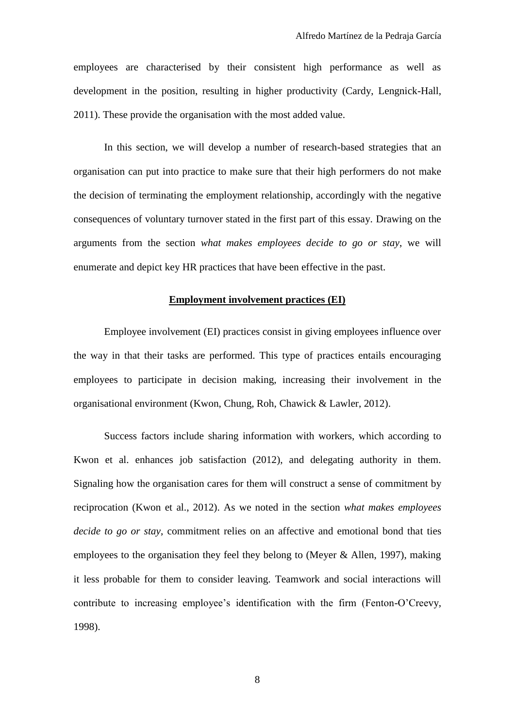employees are characterised by their consistent high performance as well as development in the position, resulting in higher productivity (Cardy, Lengnick-Hall, 2011). These provide the organisation with the most added value.

In this section, we will develop a number of research-based strategies that an organisation can put into practice to make sure that their high performers do not make the decision of terminating the employment relationship, accordingly with the negative consequences of voluntary turnover stated in the first part of this essay. Drawing on the arguments from the section *what makes employees decide to go or stay*, we will enumerate and depict key HR practices that have been effective in the past.

# **Employment involvement practices (EI)**

Employee involvement (EI) practices consist in giving employees influence over the way in that their tasks are performed. This type of practices entails encouraging employees to participate in decision making, increasing their involvement in the organisational environment (Kwon, Chung, Roh, Chawick & Lawler, 2012).

Success factors include sharing information with workers, which according to Kwon et al. enhances job satisfaction (2012), and delegating authority in them. Signaling how the organisation cares for them will construct a sense of commitment by reciprocation (Kwon et al., 2012). As we noted in the section *what makes employees decide to go or stay*, commitment relies on an affective and emotional bond that ties employees to the organisation they feel they belong to (Meyer & Allen, 1997), making it less probable for them to consider leaving. Teamwork and social interactions will contribute to increasing employee's identification with the firm (Fenton-O'Creevy, 1998).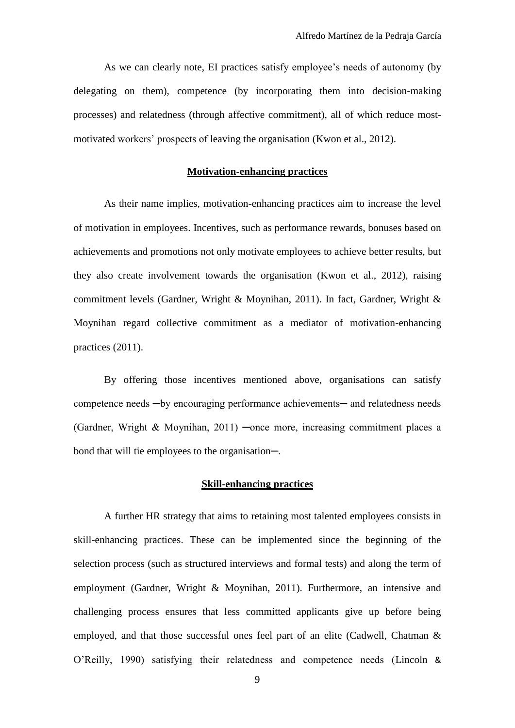As we can clearly note, EI practices satisfy employee's needs of autonomy (by delegating on them), competence (by incorporating them into decision-making processes) and relatedness (through affective commitment), all of which reduce mostmotivated workers' prospects of leaving the organisation (Kwon et al., 2012).

# **Motivation-enhancing practices**

As their name implies, motivation-enhancing practices aim to increase the level of motivation in employees. Incentives, such as performance rewards, bonuses based on achievements and promotions not only motivate employees to achieve better results, but they also create involvement towards the organisation (Kwon et al., 2012), raising commitment levels (Gardner, Wright & Moynihan, 2011). In fact, Gardner, Wright & Moynihan regard collective commitment as a mediator of motivation-enhancing practices (2011).

By offering those incentives mentioned above, organisations can satisfy competence needs —by encouraging performance achievements— and relatedness needs (Gardner, Wright & Moynihan, 2011) ─once more, increasing commitment places a bond that will tie employees to the organisation—.

## **Skill-enhancing practices**

A further HR strategy that aims to retaining most talented employees consists in skill-enhancing practices. These can be implemented since the beginning of the selection process (such as structured interviews and formal tests) and along the term of employment (Gardner, Wright & Moynihan, 2011). Furthermore, an intensive and challenging process ensures that less committed applicants give up before being employed, and that those successful ones feel part of an elite (Cadwell, Chatman & O'Reilly, 1990) satisfying their relatedness and competence needs (Lincoln &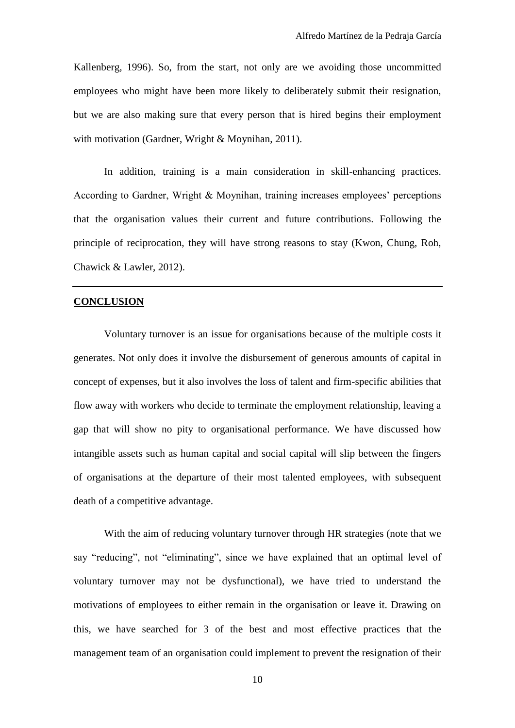Kallenberg, 1996). So, from the start, not only are we avoiding those uncommitted employees who might have been more likely to deliberately submit their resignation, but we are also making sure that every person that is hired begins their employment with motivation (Gardner, Wright & Moynihan, 2011).

In addition, training is a main consideration in skill-enhancing practices. According to Gardner, Wright & Moynihan, training increases employees' perceptions that the organisation values their current and future contributions. Following the principle of reciprocation, they will have strong reasons to stay (Kwon, Chung, Roh, Chawick & Lawler, 2012).

## **CONCLUSION**

Voluntary turnover is an issue for organisations because of the multiple costs it generates. Not only does it involve the disbursement of generous amounts of capital in concept of expenses, but it also involves the loss of talent and firm-specific abilities that flow away with workers who decide to terminate the employment relationship, leaving a gap that will show no pity to organisational performance. We have discussed how intangible assets such as human capital and social capital will slip between the fingers of organisations at the departure of their most talented employees, with subsequent death of a competitive advantage.

With the aim of reducing voluntary turnover through HR strategies (note that we say "reducing", not "eliminating", since we have explained that an optimal level of voluntary turnover may not be dysfunctional), we have tried to understand the motivations of employees to either remain in the organisation or leave it. Drawing on this, we have searched for 3 of the best and most effective practices that the management team of an organisation could implement to prevent the resignation of their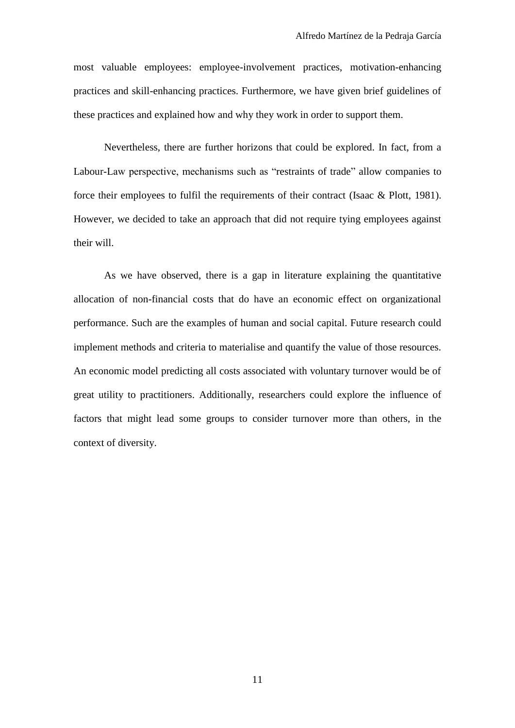most valuable employees: employee-involvement practices, motivation-enhancing practices and skill-enhancing practices. Furthermore, we have given brief guidelines of these practices and explained how and why they work in order to support them.

Nevertheless, there are further horizons that could be explored. In fact, from a Labour-Law perspective, mechanisms such as "restraints of trade" allow companies to force their employees to fulfil the requirements of their contract (Isaac & Plott, 1981). However, we decided to take an approach that did not require tying employees against their will.

As we have observed, there is a gap in literature explaining the quantitative allocation of non-financial costs that do have an economic effect on organizational performance. Such are the examples of human and social capital. Future research could implement methods and criteria to materialise and quantify the value of those resources. An economic model predicting all costs associated with voluntary turnover would be of great utility to practitioners. Additionally, researchers could explore the influence of factors that might lead some groups to consider turnover more than others, in the context of diversity.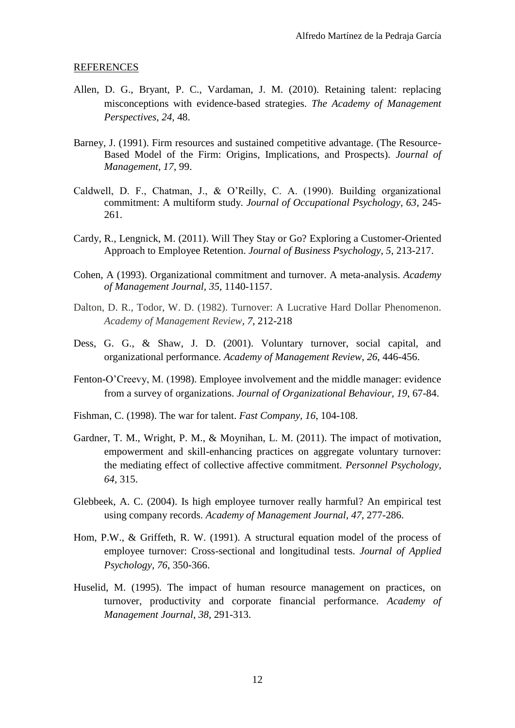### REFERENCES

- Allen, D. G., Bryant, P. C., Vardaman, J. M. (2010). Retaining talent: replacing misconceptions with evidence-based strategies. *The Academy of Management Perspectives, 24,* 48.
- Barney, J. (1991). Firm resources and sustained competitive advantage. (The Resource-Based Model of the Firm: Origins, Implications, and Prospects). *Journal of Management, 17*, 99.
- Caldwell, D. F., Chatman, J., & O'Reilly, C. A. (1990). Building organizational commitment: A multiform study*. Journal of Occupational Psychology, 63*, 245- 261.
- Cardy, R., Lengnick, M. (2011). Will They Stay or Go? Exploring a Customer-Oriented Approach to Employee Retention. *Journal of Business Psychology, 5*, 213-217.
- Cohen, A (1993). Organizational commitment and turnover. A meta-analysis. *Academy of Management Journal, 35,* 1140-1157.
- Dalton, D. R., Todor, W. D. (1982). Turnover: A Lucrative Hard Dollar Phenomenon. *Academy of Management Review, 7*, 212-218
- Dess, G. G., & Shaw, J. D. (2001). Voluntary turnover, social capital, and organizational performance. *Academy of Management Review*, *26*, 446-456.
- Fenton-O'Creevy, M. (1998). Employee involvement and the middle manager: evidence from a survey of organizations. *Journal of Organizational Behaviour, 19*, 67-84.
- Fishman, C. (1998). The war for talent. *Fast Company, 16*, 104-108.
- Gardner, T. M., Wright, P. M., & Moynihan, L. M. (2011). The impact of motivation, empowerment and skill-enhancing practices on aggregate voluntary turnover: the mediating effect of collective affective commitment. *Personnel Psychology, 64,* 315.
- Glebbeek, A. C. (2004). Is high employee turnover really harmful? An empirical test using company records. *Academy of Management Journal, 47*, 277-286.
- Hom, P.W., & Griffeth, R. W. (1991). A structural equation model of the process of employee turnover: Cross-sectional and longitudinal tests. *Journal of Applied Psychology, 76*, 350-366.
- Huselid, M. (1995). The impact of human resource management on practices, on turnover, productivity and corporate financial performance. *Academy of Management Journal, 38,* 291-313.